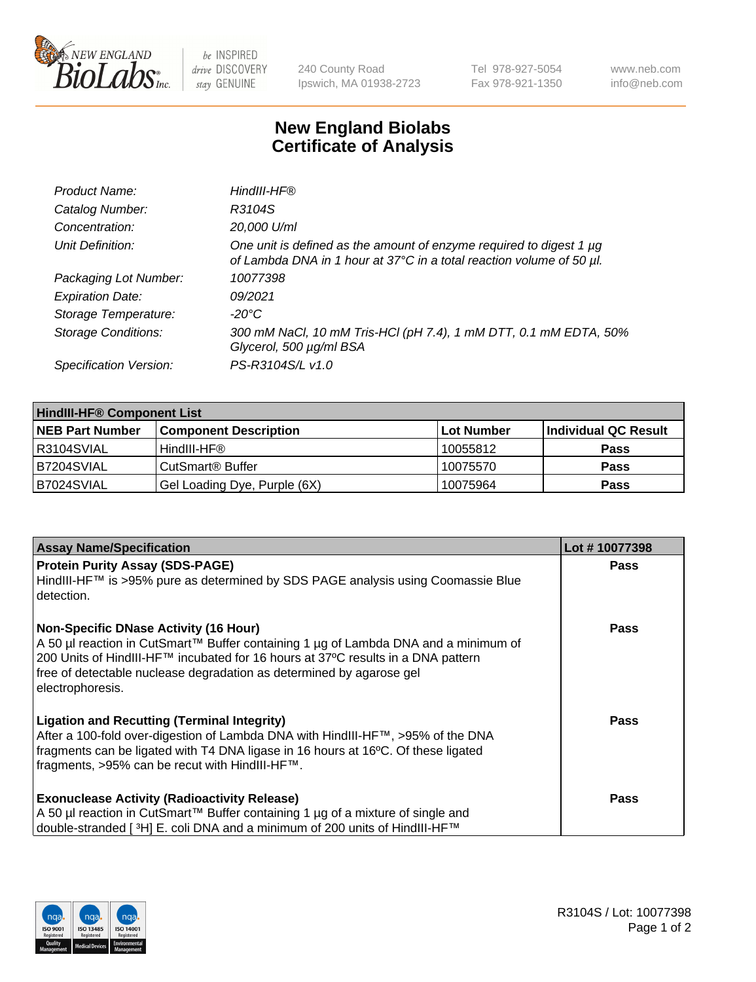

 $be$  INSPIRED drive DISCOVERY stay GENUINE

240 County Road Ipswich, MA 01938-2723 Tel 978-927-5054 Fax 978-921-1350 www.neb.com info@neb.com

## **New England Biolabs Certificate of Analysis**

| Product Name:              | HindIII-HF®                                                                                                                                 |
|----------------------------|---------------------------------------------------------------------------------------------------------------------------------------------|
| Catalog Number:            | R3104S                                                                                                                                      |
| Concentration:             | 20,000 U/ml                                                                                                                                 |
| Unit Definition:           | One unit is defined as the amount of enzyme required to digest 1 µg<br>of Lambda DNA in 1 hour at 37°C in a total reaction volume of 50 µl. |
| Packaging Lot Number:      | 10077398                                                                                                                                    |
| <b>Expiration Date:</b>    | 09/2021                                                                                                                                     |
| Storage Temperature:       | $-20^{\circ}$ C                                                                                                                             |
| <b>Storage Conditions:</b> | 300 mM NaCl, 10 mM Tris-HCl (pH 7.4), 1 mM DTT, 0.1 mM EDTA, 50%<br>Glycerol, 500 µg/ml BSA                                                 |
| Specification Version:     | PS-R3104S/L v1.0                                                                                                                            |

| <b>HindIII-HF® Component List</b> |                              |            |                      |  |  |
|-----------------------------------|------------------------------|------------|----------------------|--|--|
| <b>NEB Part Number</b>            | <b>Component Description</b> | Lot Number | Individual QC Result |  |  |
| IR3104SVIAL                       | HindIII-HF®                  | 10055812   | <b>Pass</b>          |  |  |
| B7204SVIAL                        | CutSmart <sup>®</sup> Buffer | 10075570   | <b>Pass</b>          |  |  |
| B7024SVIAL                        | Gel Loading Dye, Purple (6X) | 10075964   | <b>Pass</b>          |  |  |

| <b>Assay Name/Specification</b>                                                                                                                                                                                                                 | Lot #10077398 |
|-------------------------------------------------------------------------------------------------------------------------------------------------------------------------------------------------------------------------------------------------|---------------|
| <b>Protein Purity Assay (SDS-PAGE)</b>                                                                                                                                                                                                          | <b>Pass</b>   |
| HindIII-HF™ is >95% pure as determined by SDS PAGE analysis using Coomassie Blue<br>l detection.                                                                                                                                                |               |
| <b>Non-Specific DNase Activity (16 Hour)</b>                                                                                                                                                                                                    | <b>Pass</b>   |
| A 50 µl reaction in CutSmart™ Buffer containing 1 µg of Lambda DNA and a minimum of<br>200 Units of HindIII-HF™ incubated for 16 hours at 37°C results in a DNA pattern<br>free of detectable nuclease degradation as determined by agarose gel |               |
| electrophoresis.                                                                                                                                                                                                                                |               |
| <b>Ligation and Recutting (Terminal Integrity)</b>                                                                                                                                                                                              | Pass          |
| After a 100-fold over-digestion of Lambda DNA with HindIII-HF™, >95% of the DNA                                                                                                                                                                 |               |
| fragments can be ligated with T4 DNA ligase in 16 hours at 16°C. Of these ligated                                                                                                                                                               |               |
| fragments, >95% can be recut with HindIII-HF™.                                                                                                                                                                                                  |               |
| <b>Exonuclease Activity (Radioactivity Release)</b>                                                                                                                                                                                             | Pass          |
| A 50 µl reaction in CutSmart™ Buffer containing 1 µg of a mixture of single and                                                                                                                                                                 |               |
| double-stranded [ <sup>3</sup> H] E. coli DNA and a minimum of 200 units of HindIII-HF™                                                                                                                                                         |               |